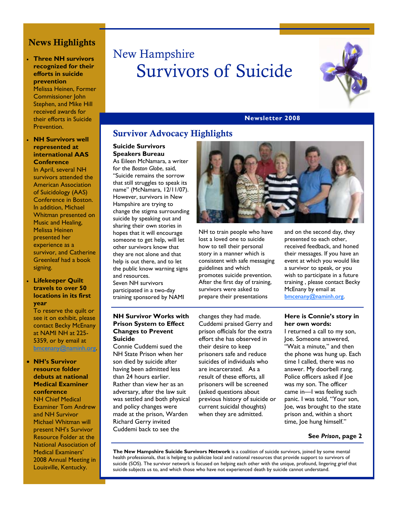# News Highlights

#### • **Three NH survivors recognized for their efforts in suicide prevention**

Melissa Heinen, Former Commissioner John Stephen, and Mike Hill received awards for their efforts in Suicide Prevention.

#### • **NH Survivors well represented at international AAS Conference**

In April, several NH survivors attended the American Association of Suicidology (AAS) Conference in Boston. In addition, Michael Whitman presented on Music and Healing, Melissa Heinen presented her experience as a survivor, and Catherine Greenleaf had a book signing.

#### • **Lifekeeper Quilt travels to over 50 locations in its first year**

To reserve the quilt or see it on exhibit, please contact Becky McEnany at NAMI NH at 225- 5359, or by email at bmcenany@naminh.org.

# • **NH's Survivor**

#### **resource folder debuts at national Medical Examiner conference**

NH Chief Medical Examiner Tom Andrew and NH Survivor Michael Whitman will present NH's Survivor Resource Folder at the National Association of Medical Examiners' 2008 Annual Meeting in Louisville, Kentucky.

# New Hampshire Survivors of Suicide



#### **Newsletter 2008**

# Survivor Advocacy Highlights

#### **Suicide Survivors Speakers Bureau**

As Eileen McNamara, a writer for the *Boston Globe*, said, "Suicide remains the sorrow that still struggles to speak its name" (McNamara, 12/11/07). However, survivors in New Hampshire are trying to change the stigma surrounding suicide by speaking out and sharing their own stories in hopes that it will encourage someone to get help, will let other survivors know that they are not alone and that help is out there, and to let the public know warning signs and resources. Seven NH survivors participated in a two-day training sponsored by NAMI

#### **NH Survivor Works with Prison System to Effect Changes to Prevent Suicide**

Connie Cuddemi sued the NH State Prison when her son died by suicide after having been admitted less than 24 hours earlier. Rather than view her as an adversary, after the law suit was settled and both physical and policy changes were made at the prison, Warden Richard Gerry invited Cuddemi back to see the



NH to train people who have lost a loved one to suicide how to tell their personal story in a manner which is consistent with safe messaging guidelines and which promotes suicide prevention. After the first day of training, survivors were asked to prepare their presentations

and on the second day, they presented to each other, received feedback, and honed their messages. If you have an event at which you would like a survivor to speak, or you wish to participate in a future training , please contact Becky McEnany by email at bmcenany@naminh.org.

changes they had made. Cuddemi praised Gerry and prison officials for the extra effort she has observed in their desire to keep prisoners safe and reduce suicides of individuals who are incarcerated. As a result of these efforts, all prisoners will be screened (asked questions about previous history of suicide or current suicidal thoughts) when they are admitted.

#### **Here is Connie's story in her own words:**

I returned a call to my son, Joe. Someone answered, "Wait a minute," and then the phone was hung up. Each time I called, there was no answer. My doorbell rang. Police officers asked if Joe was my son. The officer came in—I was feeling such panic. I was told, "Your son, Joe, was brought to the state prison and, within a short time, Joe hung himself."

#### **See** *Prison***, page 2**

**The New Hampshire Suicide Survivors Network** is a coalition of suicide survivors, joined by some mental health professionals, that is helping to publicize local and national resources that provide support to survivors of suicide (SOS). The survivor network is focused on helping each other with the unique, profound, lingering grief that suicide subjects us to, and which those who have not experienced death by suicide cannot understand.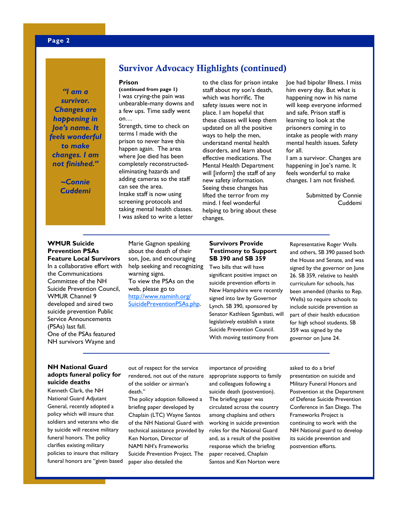*"I am a survivor. Changes are happening in Joe's name. It feels wonderful to make changes. I am not finished."* 

> *~Connie Cuddemi*

# Survivor Advocacy Highlights (continued)

#### **Prison**

**(continued from page 1)**  I was crying-the pain was unbearable-many downs and a few ups. Time sadly went on…

Strength, time to check on terms I made with the prison to never have this happen again. The area where Joe died has been completely reconstructedeliminating hazards and adding cameras so the staff can see the area. Intake staff is now using screening protocols and taking mental health classes. I was asked to write a letter

to the class for prison intake staff about my son's death, which was horrific. The safety issues were not in place. I am hopeful that these classes will keep them updated on all the positive ways to help the men, understand mental health disorders, and learn about effective medications. The Mental Health Department will [inform] the staff of any new safety information. Seeing these changes has lifted the terror from my mind. I feel wonderful helping to bring about these changes.

Joe had bipolar Illness. I miss him every day. But what is happening now in his name will keep everyone informed and safe. Prison staff is learning to look at the prisoners coming in to intake as people with many mental health issues. Safety for all.

I am a survivor. Changes are happening in Joe's name. It feels wonderful to make changes. I am not finished.

> Submitted by Connie Cuddemi

#### **WMUR Suicide Prevention PSAs Feature Local Survivors**

In a collaborative effort with the Communications Committee of the NH Suicide Prevention Council, WMUR Channel 9 developed and aired two suicide prevention Public Service Announcements (PSAs) last fall. One of the PSAs featured NH survivors Wayne and

Marie Gagnon speaking about the death of their son, Joe, and encouraging help seeking and recognizing warning signs. To view the PSAs on the web, please go to http://www.naminh.org/ SuicidePreventionPSAs.php.

#### **Survivors Provide Testimony to Support SB 390 and SB 359**

Two bills that will have significant positive impact on suicide prevention efforts in New Hampshire were recently signed into law by Governor Lynch. SB 390, sponsored by Senator Kathleen Sgambati, will legislatively establish a state Suicide Prevention Council. With moving testimony from

Representative Roger Wells and others, SB 390 passed both the House and Senate, and was signed by the governor on June 26. SB 359, relative to health curriculum for schools, has been amended (thanks to Rep. Wells) to require schools to include suicide prevention as part of their health education for high school students. SB 359 was signed by the governor on June 24.

#### **NH National Guard adopts funeral policy for suicide deaths**

Kenneth Clark, the NH National Guard Adjutant General, recently adopted a policy which will insure that soldiers and veterans who die by suicide will receive military funeral honors. The policy clarifies existing military policies to insure that military funeral honors are "given based

out of respect for the service rendered, not out of the nature of the soldier or airman's death."

The policy adoption followed a briefing paper developed by Chaplain (LTC) Wayne Santos of the NH National Guard with technical assistance provided by Ken Norton, Director of NAMI NH's Frameworks Suicide Prevention Project. The paper also detailed the

importance of providing appropriate supports to family and colleagues following a suicide death (postvention). The briefing paper was circulated across the country among chaplains and others working in suicide prevention roles for the National Guard and, as a result of the positive response which the briefing paper received, Chaplain Santos and Ken Norton were

asked to do a brief presentation on suicide and Military Funeral Honors and Postvention at the Department of Defense Suicide Prevention Conference in San Diego. The Frameworks Project is continuing to work with the NH National guard to develop its suicide prevention and postvention efforts.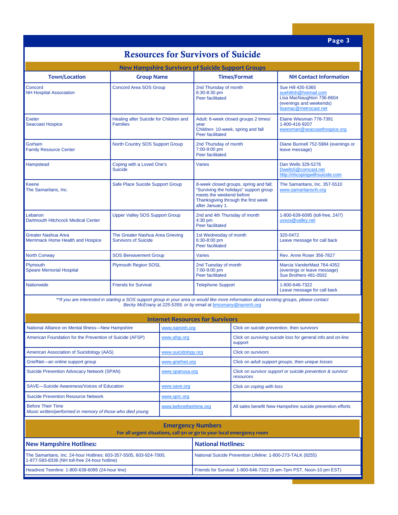# Resources for Survivors of Suicide

| <b>New Hampshire Survivors of Suicide Support Groups</b> |                                                                                                                                           |                                                                                                                                                                         |                                                                                                                             |  |
|----------------------------------------------------------|-------------------------------------------------------------------------------------------------------------------------------------------|-------------------------------------------------------------------------------------------------------------------------------------------------------------------------|-----------------------------------------------------------------------------------------------------------------------------|--|
| <b>Town/Location</b>                                     | <b>Group Name</b>                                                                                                                         | <b>Times/Format</b>                                                                                                                                                     | <b>NH Contact Information</b>                                                                                               |  |
| Concord<br><b>NH Hospital Association</b>                | <b>Concord Area SOS Group</b>                                                                                                             | 2nd Thursday of month<br>6:30-8:30 pm<br>Peer facilitated                                                                                                               | Sue Hill 435-5365<br>suehillnh@hotmail.com<br>Lisa MacNaughton 736-8604<br>(evenings and weekends)<br>lisamac@metrocast.net |  |
| Exeter<br><b>Seacoast Hospice</b>                        | Healing after Suicide for Children and<br><b>Families</b>                                                                                 | Adult: 6-week closed groups 2 times/<br>year<br>Children: 10-week, spring and fall<br>Peer facilitated                                                                  | Elaine Wiesman 778-7391<br>1-800-416-9207<br>ewiesman@seacoasthospice.org                                                   |  |
| Gorham<br><b>Family Resource Center</b>                  | North Country SOS Support Group                                                                                                           | 2nd Thursday of month<br>7:00-9:00 pm<br>Peer facilitated                                                                                                               | Diane Bunnell 752-5984 (evenings or<br>leave message)                                                                       |  |
| Hampstead                                                | Coping with a Loved One's<br><b>Suicide</b>                                                                                               | <b>Varies</b>                                                                                                                                                           | Dan Wells 329-5276<br>Dwells5@comcast.net<br>http://nhcopingwithsuicide.com                                                 |  |
| Keene<br>The Samaritans, Inc.                            | Safe Place Suicide Support Group                                                                                                          | 8-week closed groups, spring and fall;<br>"Surviving the holidays" support group<br>meets the weekend before<br>Thanksgiving through the first week<br>after January 1. | The Samaritans, Inc. 357-5510<br>www.samaritansnh.org                                                                       |  |
| Lebanon<br><b>Dartmouth Hitchcock Medical Center</b>     | <b>Upper Valley SOS Support Group</b>                                                                                                     | 2nd and 4th Thursday of month<br>$4:30$ pm<br>Peer facilitated                                                                                                          | 1-800-639-6095 (toll-free, 24/7)<br>uvsos@valley.net                                                                        |  |
| Greater Nashua Area<br>Merrimack Home Health and Hospice | The Greater Nashua Area Grieving<br><b>Survivors of Suicide</b>                                                                           | 1st Wednesday of month<br>6:30-8:00 pm<br><b>Peer facilitated</b>                                                                                                       | 320-0472<br>Leave message for call back                                                                                     |  |
| <b>North Conway</b>                                      | <b>SOS Bereavement Group</b>                                                                                                              | <b>Varies</b>                                                                                                                                                           | Rev. Anne Roser 356-7827                                                                                                    |  |
| Plymouth<br><b>Speare Memorial Hospital</b>              | <b>Plymouth Region SOSL</b>                                                                                                               | 2nd Tuesday of month<br>7:00-9:00 pm<br>Peer facilitated                                                                                                                | Marcia VanderMast 764-4352<br>(evenings or leave message)<br>Sue Brothers 481-0502                                          |  |
| <b>Nationwide</b>                                        | <b>Friends for Survival</b>                                                                                                               | <b>Telephone Support</b>                                                                                                                                                | 1-800-646-7322<br>Leave message for call back                                                                               |  |
|                                                          | **If you are interested in starting a SOS support group in your area or would like more information about existing groups, please contact | Becky McEnany at 225-5359, or by email at bmcenany @naminh.org                                                                                                          |                                                                                                                             |  |

| <b>Internet Resources for Survivors</b>                                               |                         |                                                                                |  |  |
|---------------------------------------------------------------------------------------|-------------------------|--------------------------------------------------------------------------------|--|--|
| National Alliance on Mental Illness-New Hampshire                                     | www.naminh.org          | Click on suicide prevention, then survivors                                    |  |  |
| American Foundation for the Prevention of Suicide (AFSP)                              | www.afsp.org            | Click on <i>surviving suicide loss</i> for general info and on-line<br>support |  |  |
| American Association of Suicidology (AAS)                                             | www.suicidology.org     | Click on <i>survivors</i>                                                      |  |  |
| GriefNet-an online support group                                                      | www.griefnet.org        | Click on adult support groups, then unique losses                              |  |  |
| <b>Suicide Prevention Advocacy Network (SPAN)</b>                                     | www.spanusa.org         | Click on survivor support or suicide prevention & survivor<br>resources        |  |  |
| SAVE-Suicide Awareness/Voices of Education                                            | www.save.org            | Click on coping with loss                                                      |  |  |
| Suicide Prevention Resource Network                                                   | www.sprc.org            |                                                                                |  |  |
| <b>Before Their Time</b><br>Music written/performed in memory of those who died young | www.beforetheirtime.org | All sales benefit New Hampshire suicide prevention efforts                     |  |  |

| <b>Emergency Numbers</b><br>For all urgent situations, call 911 or go to your local emergency room                  |                                                                     |  |  |
|---------------------------------------------------------------------------------------------------------------------|---------------------------------------------------------------------|--|--|
| New Hampshire Hotlines:                                                                                             | National Hotlines:                                                  |  |  |
| The Samaritans, Inc. 24-hour Hotlines: 603-357-5505, 603-924-7000,<br>1-877-583-8336 (NH toll-free 24-hour hotline) | National Suicide Prevention Lifeline: 1-800-273-TALK (8255)         |  |  |
| Headrest Teenline: 1-800-639-6095 (24-hour line)                                                                    | Friends for Survival: 1-800-646-7322 (9 am-7pm PST, Noon-10 pm EST) |  |  |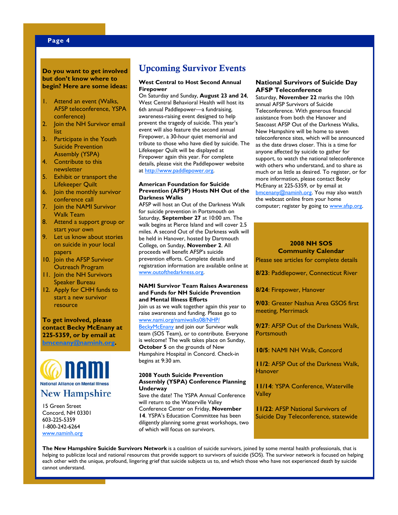#### **Do you want to get involved but don't know where to begin? Here are some ideas:**

- 1. Attend an event (Walks, AFSP teleconference, YSPA conference)
- 2. Join the NH Survivor email list
- 3. Participate in the Youth Suicide Prevention Assembly (YSPA)
- 4. Contribute to this newsletter
- 5. Exhibit or transport the Lifekeeper Quilt
- 6. Join the monthly survivor conference call
- 7. Join the NAMI Survivor Walk Team
- 8. Attend a support group or start your own
- 9. Let us know about stories on suicide in your local papers
- 10. Join the AFSP Survivor Outreach Program
- 11. Join the NH Survivors Speaker Bureau
- 12. Apply for CHH funds to start a new survivor resource

#### **To get involved, please contact Becky McEnany at 225-5359, or by email at bmcenany@naminh.org.**



15 Green Street Concord, NH 03301 603-225-5359 1-800-242-6264 www.naminh.org

# Upcoming Survivor Events

#### **West Central to Host Second Annual Firepower**

On Saturday and Sunday, **August 23 and 24**, West Central Behavioral Health will host its 6th annual Paddlepower—a fundraising, awareness-raising event designed to help prevent the tragedy of suicide. This year's event will also feature the second annual Firepower, a 30-hour quiet memorial and tribute to those who have died by suicide. The Lifekeeper Quilt will be displayed at Firepower again this year. For complete details, please visit the Paddlepower website at http://www.paddlepower.org.

#### **American Foundation for Suicide Prevention (AFSP) Hosts NH Out of the Darkness Walks**

AFSP will host an Out of the Darkness Walk for suicide prevention in Portsmouth on Saturday, **September 27** at 10:00 am. The walk begins at Pierce Island and will cover 2.5 miles. A second Out of the Darkness walk will be held in Hanover, hosted by Dartmouth College, on Sunday, **November 2**. All proceeds will benefit AFSP's suicide prevention efforts. Complete details and registration information are available online at www.outofthedarkness.org.

#### **NAMI Survivor Team Raises Awareness and Funds for NH Suicide Prevention and Mental Illness Efforts**

Join us as we walk together again this year to raise awareness and funding. Please go to www.nami.org/namiwalks08/NHP/

BeckyMcEnany and join our Survivor walk team (SOS Team), or to contribute. Everyone is welcome! The walk takes place on Sunday, **October 5** on the grounds of New Hampshire Hospital in Concord. Check-in begins at 9:30 am.

#### **2008 Youth Suicide Prevention Assembly (YSPA) Conference Planning Underway**

Save the date! The YSPA Annual Conference will return to the Waterville Valley Conference Center on Friday, **November 14**. YSPA's Education Committee has been diligently planning some great workshops, two of which will focus on survivors.

#### **National Survivors of Suicide Day AFSP Teleconference**

Saturday, **November 22** marks the 10th annual AFSP Survivors of Suicide Teleconference. With generous financial assistance from both the Hanover and Seacoast AFSP Out of the Darkness Walks, New Hampshire will be home to seven teleconference sites, which will be announced as the date draws closer. This is a time for anyone affected by suicide to gather for support, to watch the national teleconference with others who understand, and to share as much or as little as desired. To register, or for more information, please contact Becky McEnany at 225-5359, or by email at bmcenany@naminh.org. You may also watch the webcast online from your home computer; register by going to www.afsp.org.

#### **2008 NH SOS Community Calendar**

Please see articles for complete details

**8/23**: Paddlepower, Connecticut River

**8/24**: Firepower, Hanover

**9/03**: Greater Nashua Area GSOS first meeting, Merrimack

**9/27**: AFSP Out of the Darkness Walk, **Portsmouth** 

**10/5**: NAMI NH Walk, Concord

**11/2**: AFSP Out of the Darkness Walk, **Hanover** 

**11/14**: YSPA Conference, Waterville **Valley** 

**11/22**: AFSP National Survivors of Suicide Day Teleconference, statewide

**The New Hampshire Suicide Survivors Network** is a coalition of suicide survivors, joined by some mental health professionals, that is helping to publicize local and national resources that provide support to survivors of suicide (SOS). The survivor network is focused on helping each other with the unique, profound, lingering grief that suicide subjects us to, and which those who have not experienced death by suicide cannot understand.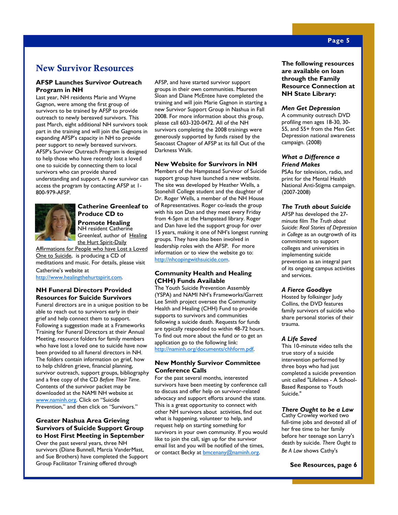# New Survivor Resources

#### **AFSP Launches Survivor Outreach Program in NH**

Last year, NH residents Marie and Wayne Gagnon, were among the first group of survivors to be trained by AFSP to provide outreach to newly bereaved survivors. This past March, eight additional NH survivors took part in the training and will join the Gagnons in expanding AFSP's capacity in NH to provide peer support to newly bereaved survivors. AFSP's Survivor Outreach Program is designed to help those who have recently lost a loved one to suicide by connecting them to local survivors who can provide shared understanding and support. A new survivor can access the program by contacting AFSP at 1- 800-979-AFSP.



#### **Catherine Greenleaf to Produce CD to Promote Healing**  NH resident Catherine Greenleaf, author of Healing

the Hurt Spirit-Daily Affirmations for People who have Lost a Loved

One to Suicide, is producing a CD of meditations and music. For details, please visit

Catherine's website at http://www.healingthehurtspirit.com.

#### **NH Funeral Directors Provided Resources for Suicide Survivors**

Funeral directors are in a unique position to be able to reach out to survivors early in their grief and help connect them to support. Following a suggestion made at a Frameworks Training for Funeral Directors at their Annual Meeting, resource folders for family members who have lost a loved one to suicide have now been provided to all funeral directors in NH. The folders contain information on grief, how to help children grieve, financial planning, survivor outreach, support groups, bibliography and a free copy of the CD *Before Their Time*. Contents of the survivor packet may be downloaded at the NAMI NH website at www.naminh.org. Click on "Suicide Prevention," and then click on "Survivors."

#### **Greater Nashua Area Grieving Survivors of Suicide Support Group to Host First Meeting in September**

Over the past several years, three NH survivors (Diane Bunnell, Marcia VanderMast, and Sue Brothers) have completed the Support Group Facilitator Training offered through

AFSP, and have started survivor support groups in their own communities. Maureen Sloan and Diane McEntee have completed the training and will join Marie Gagnon in starting a new Survivor Support Group in Nashua in Fall 2008. For more information about this group, please call 603-320-0472. All of the NH survivors completing the 2008 trainings were generously supported by funds raised by the Seacoast Chapter of AFSP at its fall Out of the Darkness Walk.

#### **New Website for Survivors in NH**

Members of the Hampstead Survivor of Suicide support group have launched a new website. The site was developed by Heather Wells, a Stonehill College student and the daughter of Dr. Roger Wells, a member of the NH House of Representatives. Roger co-leads the group with his son Dan and they meet every Friday from 4-5pm at the Hampstead library. Roger and Dan have led the support group for over 15 years, making it one of NH's longest running groups. They have also been involved in leadership roles with the AFSP. For more information or to view the website go to: http://nhcopingwithsuicide.com.

#### **Community Health and Healing (CHH) Funds Available**

The Youth Suicide Prevention Assembly (YSPA) and NAMI NH's Frameworks/Garrett Lee Smith project oversee the Community Health and Healing (CHH) Fund to provide supports to survivors and communities following a suicide death. Requests for funds are typically responded to within 48-72 hours. To find out more about the fund or to get an application go to the following link: http://naminh.org/documents/chhform.pdf.

#### **New Monthly Survivor Committee Conference Calls**

For the past several months, interested survivors have been meeting by conference call to discuss and offer help on survivor-related advocacy and support efforts around the state. This is a great opportunity to connect with other NH survivors about activities, find out what is happening, volunteer to help, and request help on starting something for survivors in your own community. If you would like to join the call, sign up for the survivor email list and you will be notified of the times, or contact Becky at **bmcenany@naminh.org**.

**The following resources are available on loan through the Family Resource Connection at NH State Library:** 

#### *Men Get Depression*

A community outreach DVD profiling men ages 18-30, 30- 55, and 55+ from the Men Get Depression national awareness campaign. (2008)

#### *What a Difference a Friend Makes*

PSAs for television, radio, and print for the Mental Health National Anti-Stigma campaign. (2007-2008)

#### *The Truth about Suicide*

AFSP has developed the 27 minute film *The Truth about Suicide: Real Stories of Depression in College* as an outgrowth of its commitment to support colleges and universities in implementing suicide prevention as an integral part of its ongoing campus activities and services.

#### *A Fierce Goodbye*

Hosted by folksinger Judy Collins, the DVD features family survivors of suicide who share personal stories of their trauma.

#### *A Life Saved*

This 10-minute video tells the true story of a suicide intervention performed by three boys who had just completed a suicide prevention unit called "Lifelines - A School-Based Response to Youth Suicide."

#### *There Ought to be a Law*

Cathy Crowley worked two full-time jobs and devoted all of her free time to her family before her teenage son Larry's death by suicide. *There Ought to Be A Law* shows Cathy's

**See Resources, page 6**